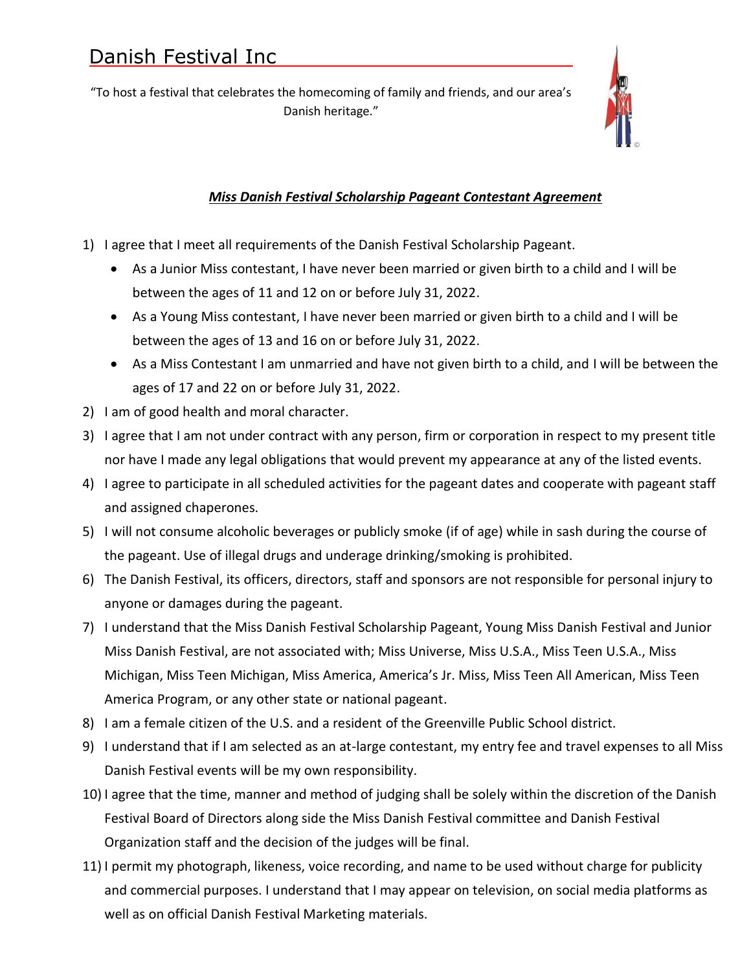"To host a festival that celebrates the homecoming of family and friends, and our area's Danish heritage."



# *Miss Danish Festival Scholarship Pageant Contestant Agreement*

- 1) I agree that I meet all requirements of the Danish Festival Scholarship Pageant.
	- As a Junior Miss contestant, I have never been married or given birth to a child and I will be between the ages of 11 and 12 on or before July 31, 2022.
	- As a Young Miss contestant, I have never been married or given birth to a child and I will be between the ages of 13 and 16 on or before July 31, 2022.
	- As a Miss Contestant I am unmarried and have not given birth to a child, and I will be between the ages of 17 and 22 on or before July 31, 2022.
- 2) I am of good health and moral character.
- 3) I agree that I am not under contract with any person, firm or corporation in respect to my present title nor have I made any legal obligations that would prevent my appearance at any of the listed events.
- 4) I agree to participate in all scheduled activities for the pageant dates and cooperate with pageant staff and assigned chaperones.
- 5) I will not consume alcoholic beverages or publicly smoke (if of age) while in sash during the course of the pageant. Use of illegal drugs and underage drinking/smoking is prohibited.
- 6) The Danish Festival, its officers, directors, staff and sponsors are not responsible for personal injury to anyone or damages during the pageant.
- 7) I understand that the Miss Danish Festival Scholarship Pageant, Young Miss Danish Festival and Junior Miss Danish Festival, are not associated with; Miss Universe, Miss U.S.A., Miss Teen U.S.A., Miss Michigan, Miss Teen Michigan, Miss America, America's Jr. Miss, Miss Teen All American, Miss Teen America Program, or any other state or national pageant.
- 8) I am a female citizen of the U.S. and a resident of the Greenville Public School district.
- 9) I understand that if I am selected as an at-large contestant, my entry fee and travel expenses to all Miss Danish Festival events will be my own responsibility.
- 10) I agree that the time, manner and method of judging shall be solely within the discretion of the Danish Festival Board of Directors along side the Miss Danish Festival committee and Danish Festival Organization staff and the decision of the judges will be final.
- 11) I permit my photograph, likeness, voice recording, and name to be used without charge for publicity and commercial purposes. I understand that I may appear on television, on social media platforms as well as on official Danish Festival Marketing materials.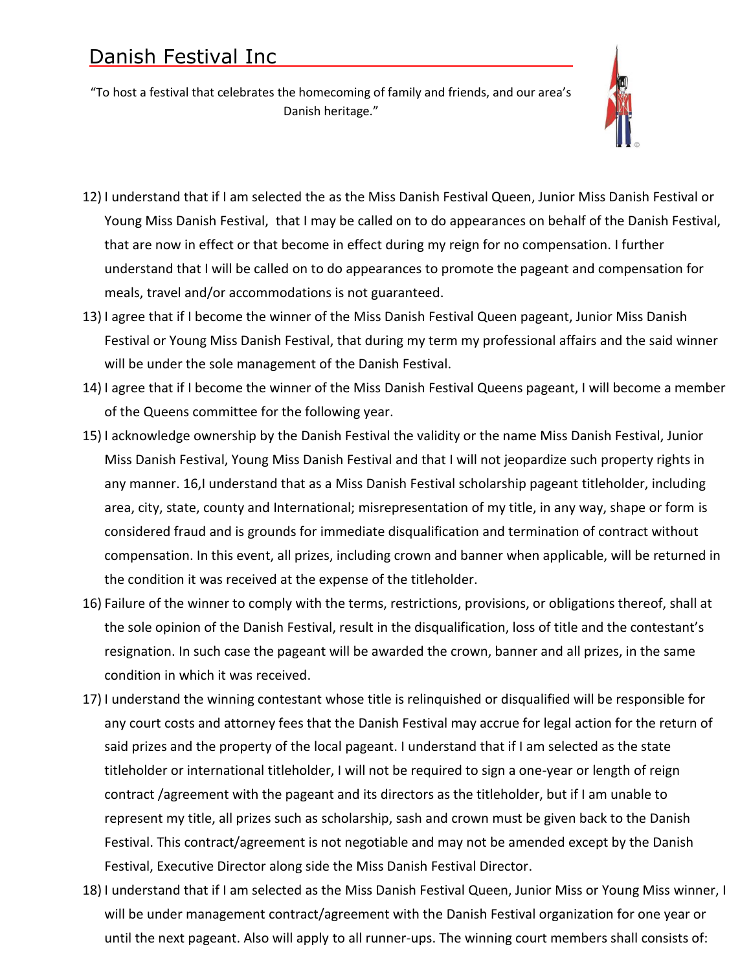"To host a festival that celebrates the homecoming of family and friends, and our area's Danish heritage."



- 12) I understand that if I am selected the as the Miss Danish Festival Queen, Junior Miss Danish Festival or Young Miss Danish Festival, that I may be called on to do appearances on behalf of the Danish Festival, that are now in effect or that become in effect during my reign for no compensation. I further understand that I will be called on to do appearances to promote the pageant and compensation for meals, travel and/or accommodations is not guaranteed.
- 13) I agree that if I become the winner of the Miss Danish Festival Queen pageant, Junior Miss Danish Festival or Young Miss Danish Festival, that during my term my professional affairs and the said winner will be under the sole management of the Danish Festival.
- 14) I agree that if I become the winner of the Miss Danish Festival Queens pageant, I will become a member of the Queens committee for the following year.
- 15) I acknowledge ownership by the Danish Festival the validity or the name Miss Danish Festival, Junior Miss Danish Festival, Young Miss Danish Festival and that I will not jeopardize such property rights in any manner. 16,I understand that as a Miss Danish Festival scholarship pageant titleholder, including area, city, state, county and International; misrepresentation of my title, in any way, shape or form is considered fraud and is grounds for immediate disqualification and termination of contract without compensation. In this event, all prizes, including crown and banner when applicable, will be returned in the condition it was received at the expense of the titleholder.
- 16) Failure of the winner to comply with the terms, restrictions, provisions, or obligations thereof, shall at the sole opinion of the Danish Festival, result in the disqualification, loss of title and the contestant's resignation. In such case the pageant will be awarded the crown, banner and all prizes, in the same condition in which it was received.
- 17) I understand the winning contestant whose title is relinquished or disqualified will be responsible for any court costs and attorney fees that the Danish Festival may accrue for legal action for the return of said prizes and the property of the local pageant. I understand that if I am selected as the state titleholder or international titleholder, I will not be required to sign a one-year or length of reign contract /agreement with the pageant and its directors as the titleholder, but if I am unable to represent my title, all prizes such as scholarship, sash and crown must be given back to the Danish Festival. This contract/agreement is not negotiable and may not be amended except by the Danish Festival, Executive Director along side the Miss Danish Festival Director.
- 18) I understand that if I am selected as the Miss Danish Festival Queen, Junior Miss or Young Miss winner, I will be under management contract/agreement with the Danish Festival organization for one year or until the next pageant. Also will apply to all runner-ups. The winning court members shall consists of: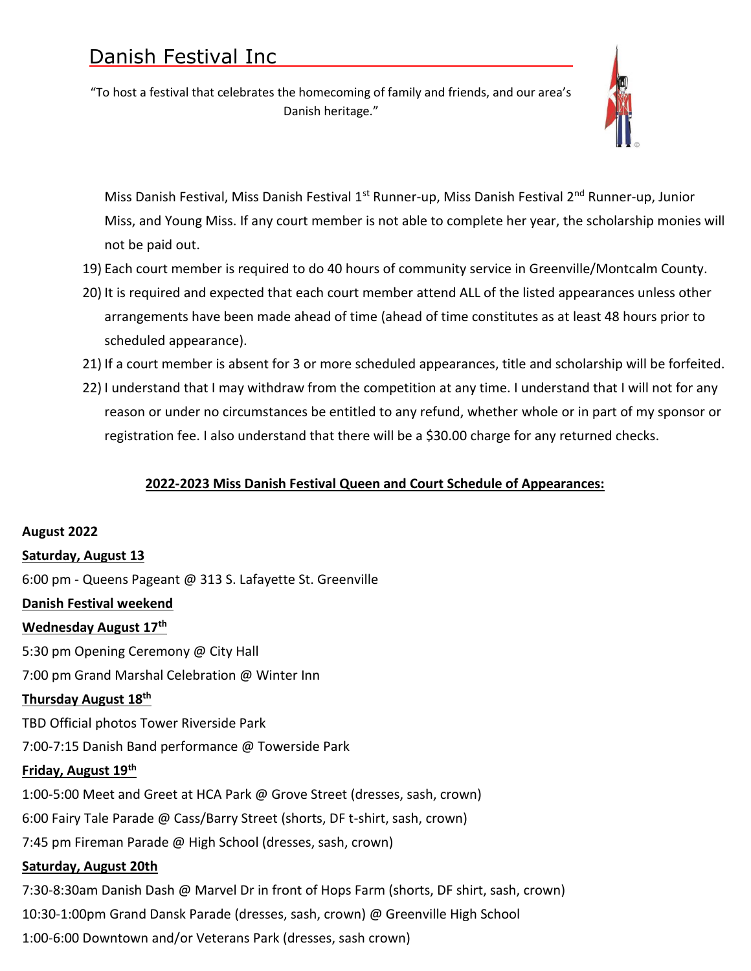"To host a festival that celebrates the homecoming of family and friends, and our area's Danish heritage."



Miss Danish Festival, Miss Danish Festival 1<sup>st</sup> Runner-up, Miss Danish Festival 2<sup>nd</sup> Runner-up, Junior Miss, and Young Miss. If any court member is not able to complete her year, the scholarship monies will not be paid out.

- 19) Each court member is required to do 40 hours of community service in Greenville/Montcalm County.
- 20) It is required and expected that each court member attend ALL of the listed appearances unless other arrangements have been made ahead of time (ahead of time constitutes as at least 48 hours prior to scheduled appearance).
- 21) If a court member is absent for 3 or more scheduled appearances, title and scholarship will be forfeited.
- 22) I understand that I may withdraw from the competition at any time. I understand that I will not for any reason or under no circumstances be entitled to any refund, whether whole or in part of my sponsor or registration fee. I also understand that there will be a \$30.00 charge for any returned checks.

### **2022-2023 Miss Danish Festival Queen and Court Schedule of Appearances:**

### **August 2022**

### **Saturday, August 13**

6:00 pm - Queens Pageant @ 313 S. Lafayette St. Greenville

### **Danish Festival weekend**

### **Wednesday August 17th**

5:30 pm Opening Ceremony @ City Hall

7:00 pm Grand Marshal Celebration @ Winter Inn

# **Thursday August 18 th**

TBD Official photos Tower Riverside Park

7:00-7:15 Danish Band performance @ Towerside Park

#### **Friday, August 19th**

1:00-5:00 Meet and Greet at HCA Park @ Grove Street (dresses, sash, crown)

6:00 Fairy Tale Parade @ Cass/Barry Street (shorts, DF t-shirt, sash, crown)

7:45 pm Fireman Parade @ High School (dresses, sash, crown)

#### **Saturday, August 20th**

7:30-8:30am Danish Dash @ Marvel Dr in front of Hops Farm (shorts, DF shirt, sash, crown) 10:30-1:00pm Grand Dansk Parade (dresses, sash, crown) @ Greenville High School 1:00-6:00 Downtown and/or Veterans Park (dresses, sash crown)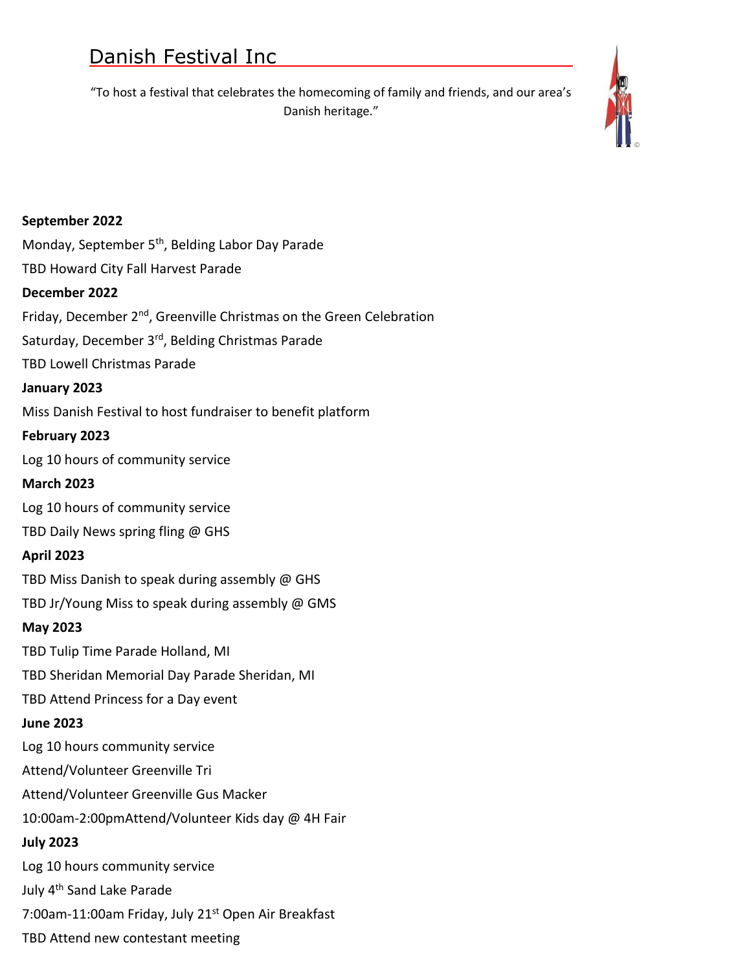"To host a festival that celebrates the homecoming of family and friends, and our area's Danish heritage."



# **September 2022**

Monday, September 5<sup>th</sup>, Belding Labor Day Parade

TBD Howard City Fall Harvest Parade

# **December 2022**

Friday, December 2<sup>nd</sup>, Greenville Christmas on the Green Celebration

Saturday, December 3<sup>rd</sup>, Belding Christmas Parade

TBD Lowell Christmas Parade

# **January 2023**

Miss Danish Festival to host fundraiser to benefit platform

# **February 2023**

Log 10 hours of community service

# **March 2023**

Log 10 hours of community service

TBD Daily News spring fling @ GHS

# **April 2023**

TBD Miss Danish to speak during assembly @ GHS

TBD Jr/Young Miss to speak during assembly @ GMS

# **May 2023**

TBD Tulip Time Parade Holland, MI

TBD Sheridan Memorial Day Parade Sheridan, MI

TBD Attend Princess for a Day event

# **June 2023**

Log 10 hours community service

Attend/Volunteer Greenville Tri

Attend/Volunteer Greenville Gus Macker

10:00am-2:00pmAttend/Volunteer Kids day @ 4H Fair

# **July 2023**

Log 10 hours community service July 4th Sand Lake Parade

7:00am-11:00am Friday, July 21<sup>st</sup> Open Air Breakfast

TBD Attend new contestant meeting